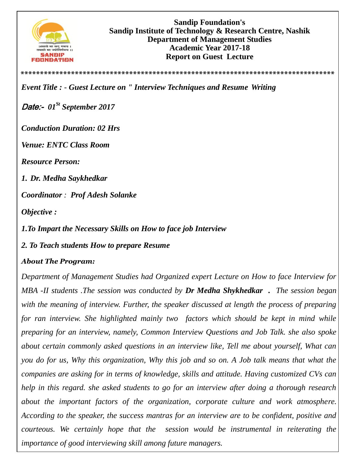

**Sandip Foundation's Sandip Institute of Technology & Research Centre, Nashik Department of Management Studies Academic Year 2017-18 Report on Guest Lecture** 

*Event Title : - Guest Lecture on " Interview Techniques and Resume Writing*

**\*\*\*\*\*\*\*\*\*\*\*\*\*\*\*\*\*\*\*\*\*\*\*\*\*\*\*\*\*\*\*\*\*\*\*\*\*\*\*\*\*\*\*\*\*\*\*\*\*\*\*\*\*\*\*\*\*\*\*\*\*\*\*\*\*\*\*\*\*\*\*\*\*\*\*\*\*\*\*\*\***

Date:- *01St September 2017*

*Conduction Duration: 02 Hrs* 

*Venue: ENTC Class Room* 

*Resource Person:* 

*1. Dr. Medha Saykhedkar*

*Coordinator : Prof Adesh Solanke* 

*Objective :*

*1.To Impart the Necessary Skills on How to face job Interview* 

*2. To Teach students How to prepare Resume* 

## *About The Program:*

*Department of Management Studies had Organized expert Lecture on How to face Interview for MBA -II students .The session was conducted by Dr Medha Shykhedkar . The session began with the meaning of interview. Further, the speaker discussed at length the process of preparing for ran interview. She highlighted mainly two factors which should be kept in mind while preparing for an interview, namely, Common Interview Questions and Job Talk. she also spoke about certain commonly asked questions in an interview like, Tell me about yourself, What can you do for us, Why this organization, Why this job and so on. A Job talk means that what the companies are asking for in terms of knowledge, skills and attitude. Having customized CVs can help in this regard. she asked students to go for an interview after doing a thorough research about the important factors of the organization, corporate culture and work atmosphere. According to the speaker, the success mantras for an interview are to be confident, positive and courteous. We certainly hope that the session would be instrumental in reiterating the importance of good interviewing skill among future managers.*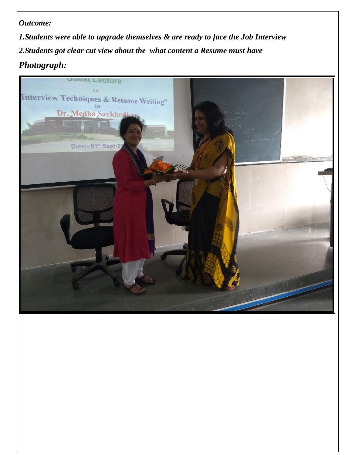## *Outcome:*

*1.Students were able to upgrade themselves & are ready to face the Job Interview 2.Students got clear cut view about the what content a Resume must have Photograph:*

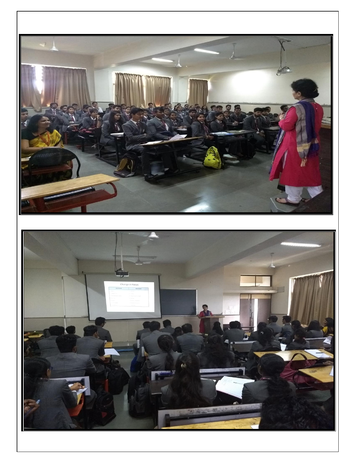